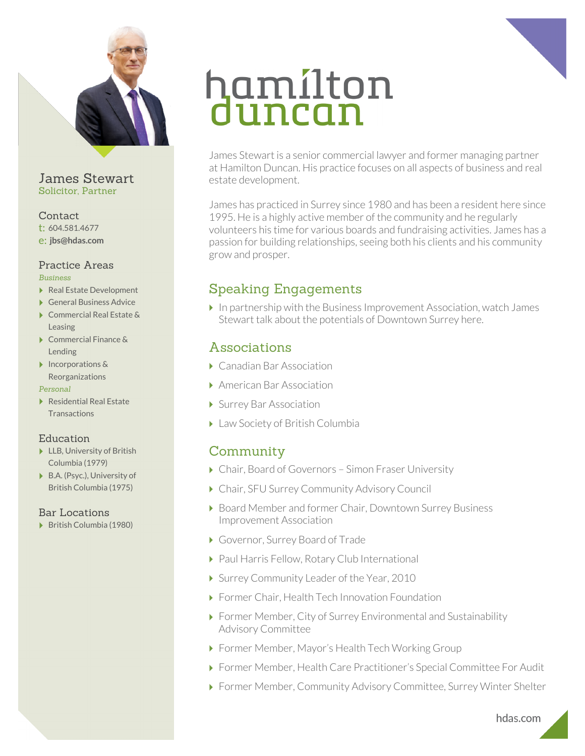

James Stewart Solicitor, Partner

### Contact

- t: 604.581.4677 e: **jbs@hdas.com**
- 

#### Practice Areas *Business*

- ▶ Real Estate Development
- ▶ General Business Advice
- ▶ Commercial Real Estate & Leasing
- ▶ Commercial Finance & Lending
- ▶ Incorporations & Reorganizations

#### *Personal*

▶ Residential Real Estate **Transactions** 

## Education

- ▶ LLB, University of British Columbia (1979)
- ▶ B.A. (Psyc.), University of British Columbia (1975)

## Bar Locations

British Columbia (1980)

# hamilton<br>duncan

James Stewart is a senior commercial lawyer and former managing partner at Hamilton Duncan. His practice focuses on all aspects of business and real estate development.

James has practiced in Surrey since 1980 and has been a resident here since 1995. He is a highly active member of the community and he regularly volunteers his time for various boards and fundraising activities. James has a passion for building relationships, seeing both his clients and his community grow and prosper.

# Speaking Engagements

 $\blacktriangleright$  In partnership with the Business Improvement Association, watch James Stewart talk about the potentials of Downtown Surrey here.

## Associations

- ▶ Canadian Bar Association
- American Bar Association
- Surrey Bar Association
- ▶ Law Society of British Columbia

# **Community**

- Chair, Board of Governors Simon Fraser University
- ▶ Chair, SFU Surrey Community Advisory Council
- ▶ Board Member and former Chair, Downtown Surrey Business Improvement Association
- Governor, Surrey Board of Trade
- ▶ Paul Harris Fellow, Rotary Club International
- ▶ Surrey Community Leader of the Year, 2010
- ▶ Former Chair, Health Tech Innovation Foundation
- Former Member, City of Surrey Environmental and Sustainability Advisory Committee
- Former Member, Mayor's Health Tech Working Group
- Former Member, Health Care Practitioner's Special Committee For Audit
- Former Member, Community Advisory Committee, Surrey Winter Shelter